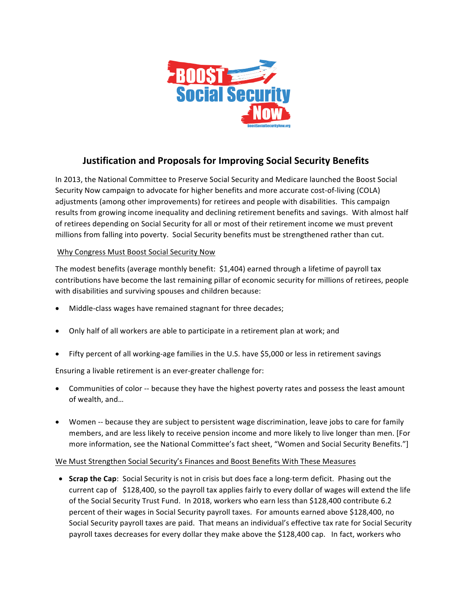

## **Justification and Proposals for Improving Social Security Benefits**

In 2013, the National Committee to Preserve Social Security and Medicare launched the Boost Social Security Now campaign to advocate for higher benefits and more accurate cost-of-living (COLA) adjustments (among other improvements) for retirees and people with disabilities. This campaign results from growing income inequality and declining retirement benefits and savings. With almost half of retirees depending on Social Security for all or most of their retirement income we must prevent millions from falling into poverty. Social Security benefits must be strengthened rather than cut.

## Why Congress Must Boost Social Security Now

The modest benefits (average monthly benefit:  $$1,404$ ) earned through a lifetime of payroll tax contributions have become the last remaining pillar of economic security for millions of retirees, people with disabilities and surviving spouses and children because:

- Middle-class wages have remained stagnant for three decades;
- Only half of all workers are able to participate in a retirement plan at work; and
- Fifty percent of all working-age families in the U.S. have \$5,000 or less in retirement savings

Ensuring a livable retirement is an ever-greater challenge for:

- Communities of color -- because they have the highest poverty rates and possess the least amount of wealth, and...
- Women -- because they are subject to persistent wage discrimination, leave jobs to care for family members, and are less likely to receive pension income and more likely to live longer than men. [For more information, see the National Committee's fact sheet, "Women and Social Security Benefits."]

## We Must Strengthen Social Security's Finances and Boost Benefits With These Measures

• **Scrap the Cap**: Social Security is not in crisis but does face a long-term deficit. Phasing out the current cap of  $$128,400$ , so the payroll tax applies fairly to every dollar of wages will extend the life of the Social Security Trust Fund. In 2018, workers who earn less than \$128,400 contribute 6.2 percent of their wages in Social Security payroll taxes. For amounts earned above \$128,400, no Social Security payroll taxes are paid. That means an individual's effective tax rate for Social Security payroll taxes decreases for every dollar they make above the \$128,400 cap. In fact, workers who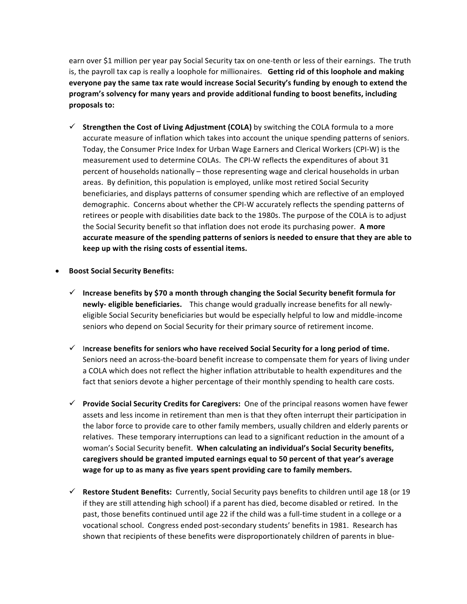earn over \$1 million per year pay Social Security tax on one-tenth or less of their earnings. The truth is, the payroll tax cap is really a loophole for millionaires. Getting rid of this loophole and making everyone pay the same tax rate would increase Social Security's funding by enough to extend the program's solvency for many years and provide additional funding to boost benefits, including **proposals to:**

- $\checkmark$  Strengthen the Cost of Living Adjustment (COLA) by switching the COLA formula to a more accurate measure of inflation which takes into account the unique spending patterns of seniors. Today, the Consumer Price Index for Urban Wage Earners and Clerical Workers (CPI-W) is the measurement used to determine COLAs. The CPI-W reflects the expenditures of about 31 percent of households nationally – those representing wage and clerical households in urban areas. By definition, this population is employed, unlike most retired Social Security beneficiaries, and displays patterns of consumer spending which are reflective of an employed demographic. Concerns about whether the CPI-W accurately reflects the spending patterns of retirees or people with disabilities date back to the 1980s. The purpose of the COLA is to adjust the Social Security benefit so that inflation does not erode its purchasing power. A more accurate measure of the spending patterns of seniors is needed to ensure that they are able to keep up with the rising costs of essential items.
- **Boost Social Security Benefits:**
	- $\checkmark$  Increase benefits by \$70 a month through changing the Social Security benefit formula for **newly- eligible beneficiaries.** This change would gradually increase benefits for all newlyeligible Social Security beneficiaries but would be especially helpful to low and middle-income seniors who depend on Social Security for their primary source of retirement income.
	- $\checkmark$  Increase benefits for seniors who have received Social Security for a long period of time. Seniors need an across-the-board benefit increase to compensate them for years of living under a COLA which does not reflect the higher inflation attributable to health expenditures and the fact that seniors devote a higher percentage of their monthly spending to health care costs.
	- **► Provide Social Security Credits for Caregivers:** One of the principal reasons women have fewer assets and less income in retirement than men is that they often interrupt their participation in the labor force to provide care to other family members, usually children and elderly parents or relatives. These temporary interruptions can lead to a significant reduction in the amount of a woman's Social Security benefit. When calculating an individual's Social Security benefits, caregivers should be granted imputed earnings equal to 50 percent of that year's average wage for up to as many as five years spent providing care to family members.
	- $\checkmark$  Restore Student Benefits: Currently, Social Security pays benefits to children until age 18 (or 19 if they are still attending high school) if a parent has died, become disabled or retired. In the past, those benefits continued until age 22 if the child was a full-time student in a college or a vocational school. Congress ended post-secondary students' benefits in 1981. Research has shown that recipients of these benefits were disproportionately children of parents in blue-